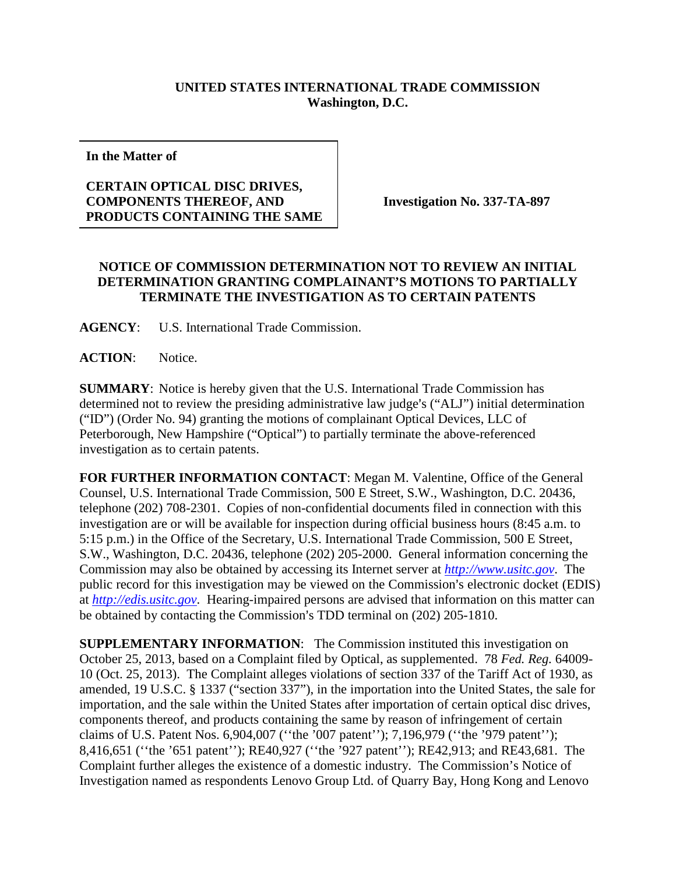## **UNITED STATES INTERNATIONAL TRADE COMMISSION Washington, D.C.**

**In the Matter of**

## **CERTAIN OPTICAL DISC DRIVES, COMPONENTS THEREOF, AND PRODUCTS CONTAINING THE SAME**

**Investigation No. 337-TA-897**

## **NOTICE OF COMMISSION DETERMINATION NOT TO REVIEW AN INITIAL DETERMINATION GRANTING COMPLAINANT'S MOTIONS TO PARTIALLY TERMINATE THE INVESTIGATION AS TO CERTAIN PATENTS**

**AGENCY**: U.S. International Trade Commission.

**ACTION**: Notice.

**SUMMARY**: Notice is hereby given that the U.S. International Trade Commission has determined not to review the presiding administrative law judge's ("ALJ") initial determination ("ID") (Order No. 94) granting the motions of complainant Optical Devices, LLC of Peterborough, New Hampshire ("Optical") to partially terminate the above-referenced investigation as to certain patents.

**FOR FURTHER INFORMATION CONTACT**: Megan M. Valentine, Office of the General Counsel, U.S. International Trade Commission, 500 E Street, S.W., Washington, D.C. 20436, telephone (202) 708-2301. Copies of non-confidential documents filed in connection with this investigation are or will be available for inspection during official business hours (8:45 a.m. to 5:15 p.m.) in the Office of the Secretary, U.S. International Trade Commission, 500 E Street, S.W., Washington, D.C. 20436, telephone (202) 205-2000. General information concerning the Commission may also be obtained by accessing its Internet server at *[http://www.usitc.gov](http://www.usitc.gov/)*. The public record for this investigation may be viewed on the Commission's electronic docket (EDIS) at *[http://edis.usitc.gov](http://edis.usitc.gov/)*. Hearing-impaired persons are advised that information on this matter can be obtained by contacting the Commission's TDD terminal on (202) 205-1810.

**SUPPLEMENTARY INFORMATION**: The Commission instituted this investigation on October 25, 2013, based on a Complaint filed by Optical, as supplemented. 78 *Fed. Reg.* 64009- 10 (Oct. 25, 2013). The Complaint alleges violations of section 337 of the Tariff Act of 1930, as amended, 19 U.S.C. § 1337 ("section 337"), in the importation into the United States, the sale for importation, and the sale within the United States after importation of certain optical disc drives, components thereof, and products containing the same by reason of infringement of certain claims of U.S. Patent Nos. 6,904,007 (''the '007 patent''); 7,196,979 (''the '979 patent''); 8,416,651 (''the '651 patent''); RE40,927 (''the '927 patent''); RE42,913; and RE43,681. The Complaint further alleges the existence of a domestic industry. The Commission's Notice of Investigation named as respondents Lenovo Group Ltd. of Quarry Bay, Hong Kong and Lenovo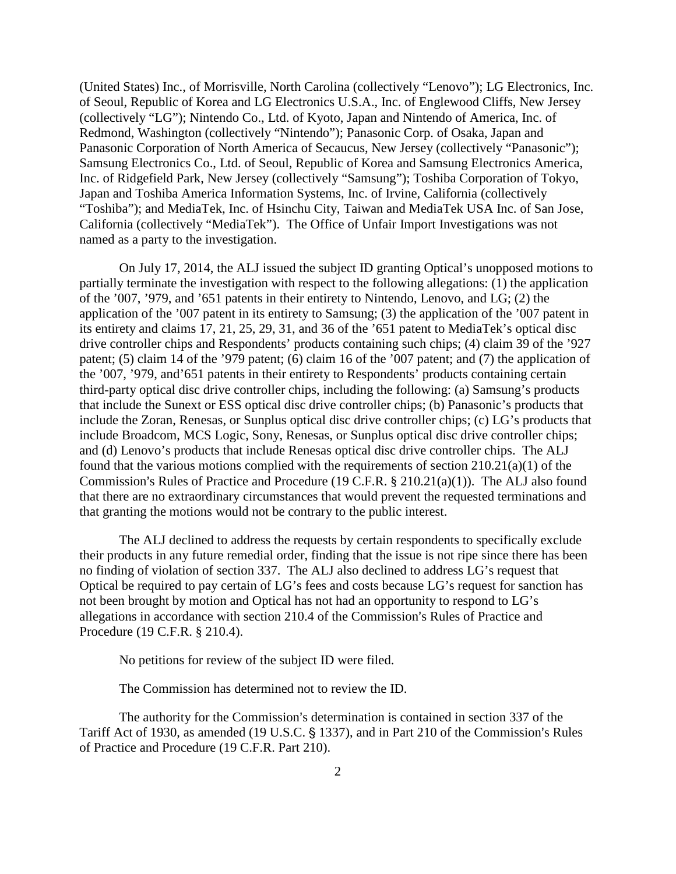(United States) Inc., of Morrisville, North Carolina (collectively "Lenovo"); LG Electronics, Inc. of Seoul, Republic of Korea and LG Electronics U.S.A., Inc. of Englewood Cliffs, New Jersey (collectively "LG"); Nintendo Co., Ltd. of Kyoto, Japan and Nintendo of America, Inc. of Redmond, Washington (collectively "Nintendo"); Panasonic Corp. of Osaka, Japan and Panasonic Corporation of North America of Secaucus, New Jersey (collectively "Panasonic"); Samsung Electronics Co., Ltd. of Seoul, Republic of Korea and Samsung Electronics America, Inc. of Ridgefield Park, New Jersey (collectively "Samsung"); Toshiba Corporation of Tokyo, Japan and Toshiba America Information Systems, Inc. of Irvine, California (collectively "Toshiba"); and MediaTek, Inc. of Hsinchu City, Taiwan and MediaTek USA Inc. of San Jose, California (collectively "MediaTek"). The Office of Unfair Import Investigations was not named as a party to the investigation.

On July 17, 2014, the ALJ issued the subject ID granting Optical's unopposed motions to partially terminate the investigation with respect to the following allegations: (1) the application of the '007, '979, and '651 patents in their entirety to Nintendo, Lenovo, and LG; (2) the application of the '007 patent in its entirety to Samsung; (3) the application of the '007 patent in its entirety and claims 17, 21, 25, 29, 31, and 36 of the '651 patent to MediaTek's optical disc drive controller chips and Respondents' products containing such chips; (4) claim 39 of the '927 patent; (5) claim 14 of the '979 patent; (6) claim 16 of the '007 patent; and (7) the application of the '007, '979, and'651 patents in their entirety to Respondents' products containing certain third-party optical disc drive controller chips, including the following: (a) Samsung's products that include the Sunext or ESS optical disc drive controller chips; (b) Panasonic's products that include the Zoran, Renesas, or Sunplus optical disc drive controller chips; (c) LG's products that include Broadcom, MCS Logic, Sony, Renesas, or Sunplus optical disc drive controller chips; and (d) Lenovo's products that include Renesas optical disc drive controller chips. The ALJ found that the various motions complied with the requirements of section 210.21(a)(1) of the Commission's Rules of Practice and Procedure (19 C.F.R.  $\S$  210.21(a)(1)). The ALJ also found that there are no extraordinary circumstances that would prevent the requested terminations and that granting the motions would not be contrary to the public interest.

The ALJ declined to address the requests by certain respondents to specifically exclude their products in any future remedial order, finding that the issue is not ripe since there has been no finding of violation of section 337. The ALJ also declined to address LG's request that Optical be required to pay certain of LG's fees and costs because LG's request for sanction has not been brought by motion and Optical has not had an opportunity to respond to LG's allegations in accordance with section 210.4 of the Commission's Rules of Practice and Procedure (19 C.F.R. § 210.4).

No petitions for review of the subject ID were filed.

The Commission has determined not to review the ID.

The authority for the Commission's determination is contained in section 337 of the Tariff Act of 1930, as amended (19 U.S.C. § 1337), and in Part 210 of the Commission's Rules of Practice and Procedure (19 C.F.R. Part 210).